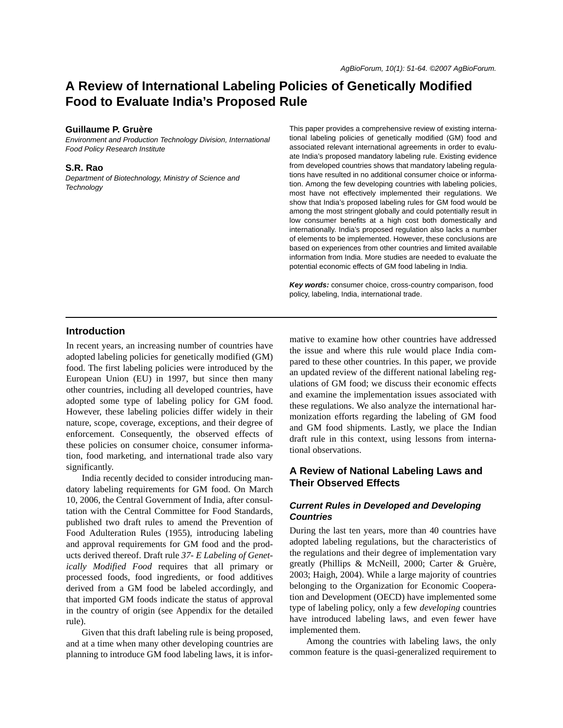# **A Review of International Labeling Policies of Genetically Modified Food to Evaluate India's Proposed Rule**

#### **Guillaume P. Gruère**

*Environment and Production Technology Division, International Food Policy Research Institute*

### **S.R. Rao**

*Department of Biotechnology, Ministry of Science and Technology*

This paper provides a comprehensive review of existing international labeling policies of genetically modified (GM) food and associated relevant international agreements in order to evaluate India's proposed mandatory labeling rule. Existing evidence from developed countries shows that mandatory labeling regulations have resulted in no additional consumer choice or information. Among the few developing countries with labeling policies, most have not effectively implemented their regulations. We show that India's proposed labeling rules for GM food would be among the most stringent globally and could potentially result in low consumer benefits at a high cost both domestically and internationally. India's proposed regulation also lacks a number of elements to be implemented. However, these conclusions are based on experiences from other countries and limited available information from India. More studies are needed to evaluate the potential economic effects of GM food labeling in India.

*Key words:* consumer choice, cross-country comparison, food policy, labeling, India, international trade.

### **Introduction**

In recent years, an increasing number of countries have adopted labeling policies for genetically modified (GM) food. The first labeling policies were introduced by the European Union (EU) in 1997, but since then many other countries, including all developed countries, have adopted some type of labeling policy for GM food. However, these labeling policies differ widely in their nature, scope, coverage, exceptions, and their degree of enforcement. Consequently, the observed effects of these policies on consumer choice, consumer information, food marketing, and international trade also vary significantly.

 India recently decided to consider introducing mandatory labeling requirements for GM food. On March 10, 2006, the Central Government of India, after consultation with the Central Committee for Food Standards, published two draft rules to amend the Prevention of Food Adulteration Rules (1955), introducing labeling and approval requirements for GM food and the products derived thereof. Draft rule *37- E Labeling of Genetically Modified Food* requires that all primary or processed foods, food ingredients, or food additives derived from a GM food be labeled accordingly, and that imported GM foods indicate the status of approval in the country of origin (see Appendix for the detailed rule).

 Given that this draft labeling rule is being proposed, and at a time when many other developing countries are planning to introduce GM food labeling laws, it is informative to examine how other countries have addressed the issue and where this rule would place India compared to these other countries. In this paper, we provide an updated review of the different national labeling regulations of GM food; we discuss their economic effects and examine the implementation issues associated with these regulations. We also analyze the international harmonization efforts regarding the labeling of GM food and GM food shipments. Lastly, we place the Indian draft rule in this context, using lessons from international observations.

# **A Review of National Labeling Laws and Their Observed Effects**

# *Current Rules in Developed and Developing Countries*

During the last ten years, more than 40 countries have adopted labeling regulations, but the characteristics of the regulations and their degree of implementation vary greatly (Phillips & McNeill, 2000; Carter & Gruère, 2003; Haigh, 2004). While a large majority of countries belonging to the Organization for Economic Cooperation and Development (OECD) have implemented some type of labeling policy, only a few *developing* countries have introduced labeling laws, and even fewer have implemented them.

 Among the countries with labeling laws, the only common feature is the quasi-generalized requirement to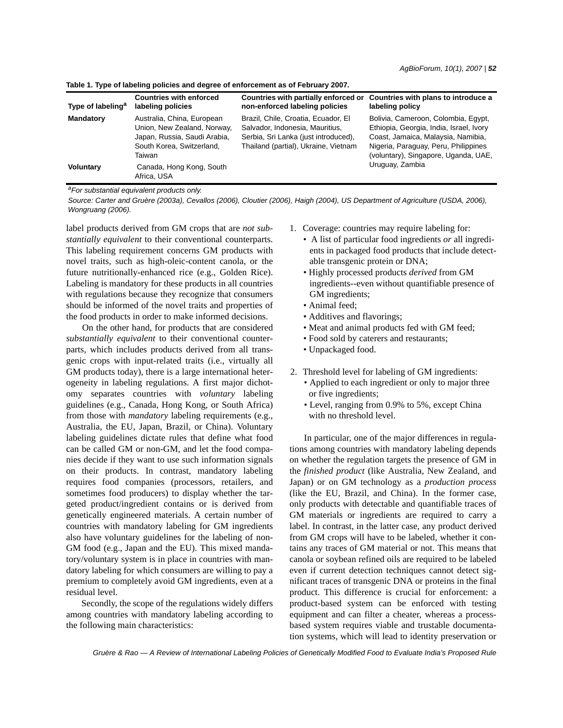| Type of labeling <sup>a</sup> | <b>Countries with enforced</b><br>labeling policies                                                                              | Countries with partially enforced or<br>non-enforced labeling policies                                                                                 | Countries with plans to introduce a<br>labeling policy                                                                                                                                               |
|-------------------------------|----------------------------------------------------------------------------------------------------------------------------------|--------------------------------------------------------------------------------------------------------------------------------------------------------|------------------------------------------------------------------------------------------------------------------------------------------------------------------------------------------------------|
| <b>Mandatory</b>              | Australia, China, European<br>Union, New Zealand, Norway,<br>Japan, Russia, Saudi Arabia,<br>South Korea, Switzerland,<br>Taiwan | Brazil, Chile, Croatia, Ecuador, El<br>Salvador, Indonesia, Mauritius,<br>Serbia, Sri Lanka (just introduced),<br>Thailand (partial), Ukraine, Vietnam | Bolivia, Cameroon, Colombia, Egypt,<br>Ethiopia, Georgia, India, Israel, Ivory<br>Coast, Jamaica, Malaysia, Namibia,<br>Nigeria, Paraguay, Peru, Philippines<br>(voluntary), Singapore, Uganda, UAE, |
| Voluntary                     | Canada, Hong Kong, South<br>Africa, USA                                                                                          |                                                                                                                                                        | Uruguay, Zambia                                                                                                                                                                                      |

**Table 1. Type of labeling policies and degree of enforcement as of February 2007.**

*aFor substantial equivalent products only.*

*Source: Carter and Gruère (2003a), Cevallos (2006), Cloutier (2006), Haigh (2004), US Department of Agriculture (USDA, 2006), Wongruang (2006).*

label products derived from GM crops that are *not substantially equivalent* to their conventional counterparts. This labeling requirement concerns GM products with novel traits, such as high-oleic-content canola, or the future nutritionally-enhanced rice (e.g., Golden Rice). Labeling is mandatory for these products in all countries with regulations because they recognize that consumers should be informed of the novel traits and properties of the food products in order to make informed decisions.

 On the other hand, for products that are considered *substantially equivalent* to their conventional counterparts, which includes products derived from all transgenic crops with input-related traits (i.e., virtually all GM products today), there is a large international heterogeneity in labeling regulations. A first major dichotomy separates countries with *voluntary* labeling guidelines (e.g., Canada, Hong Kong, or South Africa) from those with *mandatory* labeling requirements (e.g., Australia, the EU, Japan, Brazil, or China). Voluntary labeling guidelines dictate rules that define what food can be called GM or non-GM, and let the food companies decide if they want to use such information signals on their products. In contrast, mandatory labeling requires food companies (processors, retailers, and sometimes food producers) to display whether the targeted product/ingredient contains or is derived from genetically engineered materials. A certain number of countries with mandatory labeling for GM ingredients also have voluntary guidelines for the labeling of non-GM food (e.g., Japan and the EU). This mixed mandatory/voluntary system is in place in countries with mandatory labeling for which consumers are willing to pay a premium to completely avoid GM ingredients, even at a residual level.

 Secondly, the scope of the regulations widely differs among countries with mandatory labeling according to the following main characteristics:

- 1. Coverage: countries may require labeling for:
	- A list of particular food ingredients *or* all ingredients in packaged food products that include detectable transgenic protein or DNA;
	- Highly processed products *derived* from GM ingredients--even without quantifiable presence of GM ingredients;
	- Animal feed;
	- Additives and flavorings;
	- Meat and animal products fed with GM feed;
	- Food sold by caterers and restaurants;
	- Unpackaged food.
- 2. Threshold level for labeling of GM ingredients:
	- Applied to each ingredient or only to major three or five ingredients;
	- Level, ranging from 0.9% to 5%, except China with no threshold level.

In particular, one of the major differences in regulations among countries with mandatory labeling depends on whether the regulation targets the presence of GM in the *finished product* (like Australia, New Zealand, and Japan) or on GM technology as a *production process* (like the EU, Brazil, and China). In the former case, only products with detectable and quantifiable traces of GM materials or ingredients are required to carry a label. In contrast, in the latter case, any product derived from GM crops will have to be labeled, whether it contains any traces of GM material or not. This means that canola or soybean refined oils are required to be labeled even if current detection techniques cannot detect significant traces of transgenic DNA or proteins in the final product. This difference is crucial for enforcement: a product-based system can be enforced with testing equipment and can filter a cheater, whereas a processbased system requires viable and trustable documentation systems, which will lead to identity preservation or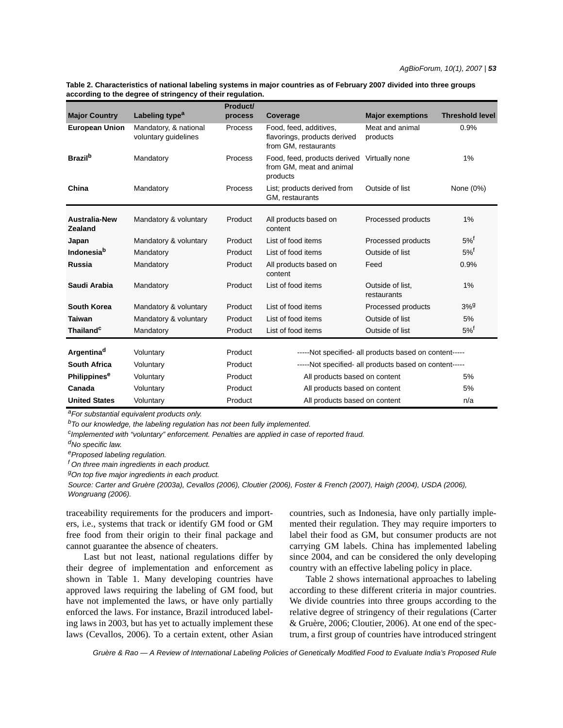| Table 2. Characteristics of national labeling systems in major countries as of February 2007 divided into three groups |  |
|------------------------------------------------------------------------------------------------------------------------|--|
| according to the degree of stringency of their regulation.                                                             |  |

|                                 |                                               | Product/       |                                                                                |                                 |                        |
|---------------------------------|-----------------------------------------------|----------------|--------------------------------------------------------------------------------|---------------------------------|------------------------|
| <b>Major Country</b>            | Labeling type <sup>a</sup>                    | process        | Coverage                                                                       | <b>Major exemptions</b>         | <b>Threshold level</b> |
| <b>European Union</b>           | Mandatory, & national<br>voluntary guidelines | <b>Process</b> | Food, feed, additives,<br>flavorings, products derived<br>from GM, restaurants | Meat and animal<br>products     | 0.9%                   |
| <b>Brazil</b> <sup>b</sup>      | Mandatory                                     | Process        | Food, feed, products derived<br>from GM, meat and animal<br>products           | Virtually none                  | 1%                     |
| China                           | Mandatory                                     | Process        | List; products derived from<br>GM, restaurants                                 | Outside of list                 | None (0%)              |
| <b>Australia-New</b><br>Zealand | Mandatory & voluntary                         | Product        | All products based on<br>content                                               | Processed products              | 1%                     |
| Japan                           | Mandatory & voluntary                         | Product        | List of food items                                                             | Processed products              | $5\%$ <sup>f</sup>     |
| <b>Indonesia</b> <sup>b</sup>   | Mandatory                                     | Product        | List of food items                                                             | Outside of list                 | $5\%$ <sup>†</sup>     |
| <b>Russia</b>                   | Mandatory                                     | Product        | All products based on<br>content                                               | Feed                            | 0.9%                   |
| Saudi Arabia                    | Mandatory                                     | Product        | List of food items                                                             | Outside of list,<br>restaurants | 1%                     |
| <b>South Korea</b>              | Mandatory & voluntary                         | Product        | List of food items                                                             | Processed products              | 3%9                    |
| <b>Taiwan</b>                   | Mandatory & voluntary                         | Product        | List of food items                                                             | Outside of list                 | 5%                     |
| Thailand <sup>c</sup>           | Mandatory                                     | Product        | List of food items                                                             | Outside of list                 | $5\%$ <sup>f</sup>     |
| Argentina <sup>d</sup>          | Voluntary                                     | Product        |                                                                                |                                 |                        |
|                                 |                                               |                | -----Not specified- all products based on content-----                         |                                 |                        |
| <b>South Africa</b>             | Voluntary                                     | Product        | -----Not specified- all products based on content-----                         |                                 |                        |
| Philippines <sup>e</sup>        | Voluntary                                     | Product        | All products based on content<br>5%                                            |                                 |                        |
| Canada                          | Voluntary                                     | Product        | All products based on content<br>5%                                            |                                 |                        |
| <b>United States</b>            | Voluntary                                     | Product        | All products based on content<br>n/a                                           |                                 |                        |

*aFor substantial equivalent products only.* 

*bTo our knowledge, the labeling regulation has not been fully implemented.*

*c Implemented with "voluntary" enforcement. Penalties are applied in case of reported fraud.* 

*dNo specific law.*

*eProposed labeling regulation.* 

*f On three main ingredients in each product.* 

*gOn top five major ingredients in each product.*

*Source: Carter and Gruère (2003a), Cevallos (2006), Cloutier (2006), Foster & French (2007), Haigh (2004), USDA (2006), Wongruang (2006).*

traceability requirements for the producers and importers, i.e., systems that track or identify GM food or GM free food from their origin to their final package and cannot guarantee the absence of cheaters.

 Last but not least, national regulations differ by their degree of implementation and enforcement as shown in Table 1. Many developing countries have approved laws requiring the labeling of GM food, but have not implemented the laws, or have only partially enforced the laws. For instance, Brazil introduced labeling laws in 2003, but has yet to actually implement these laws (Cevallos, 2006). To a certain extent, other Asian

countries, such as Indonesia, have only partially implemented their regulation. They may require importers to label their food as GM, but consumer products are not carrying GM labels. China has implemented labeling since 2004, and can be considered the only developing country with an effective labeling policy in place.

 Table 2 shows international approaches to labeling according to these different criteria in major countries. We divide countries into three groups according to the relative degree of stringency of their regulations (Carter & Gruère, 2006; Cloutier, 2006). At one end of the spectrum, a first group of countries have introduced stringent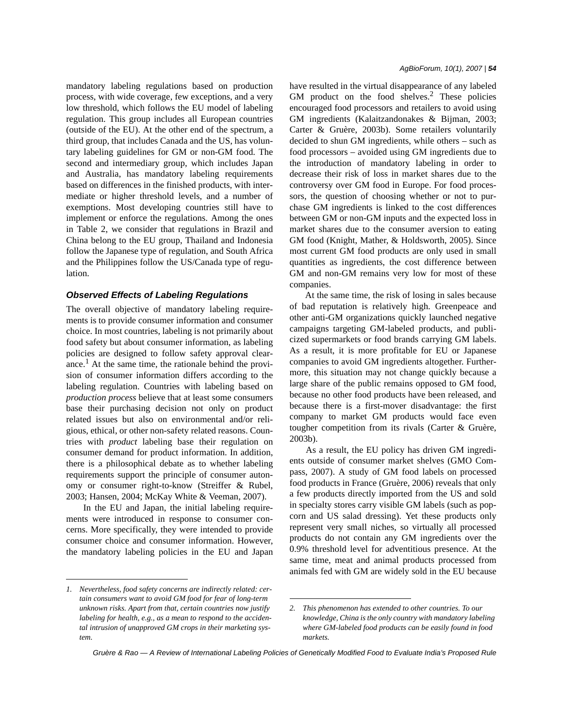mandatory labeling regulations based on production process, with wide coverage, few exceptions, and a very low threshold, which follows the EU model of labeling regulation. This group includes all European countries (outside of the EU). At the other end of the spectrum, a third group, that includes Canada and the US, has voluntary labeling guidelines for GM or non-GM food. The second and intermediary group, which includes Japan and Australia, has mandatory labeling requirements based on differences in the finished products, with intermediate or higher threshold levels, and a number of exemptions. Most developing countries still have to implement or enforce the regulations. Among the ones in Table 2, we consider that regulations in Brazil and China belong to the EU group, Thailand and Indonesia follow the Japanese type of regulation, and South Africa and the Philippines follow the US/Canada type of regulation.

### *Observed Effects of Labeling Regulations*

The overall objective of mandatory labeling requirements is to provide consumer information and consumer choice. In most countries, labeling is not primarily about food safety but about consumer information, as labeling policies are designed to follow safety approval clearance.<sup>1</sup> At the same time, the rationale behind the provision of consumer information differs according to the labeling regulation. Countries with labeling based on *production process* believe that at least some consumers base their purchasing decision not only on product related issues but also on environmental and/or religious, ethical, or other non-safety related reasons. Countries with *product* labeling base their regulation on consumer demand for product information. In addition, there is a philosophical debate as to whether labeling requirements support the principle of consumer autonomy or consumer right-to-know (Streiffer & Rubel, 2003; Hansen, 2004; McKay White & Veeman, 2007).

 In the EU and Japan, the initial labeling requirements were introduced in response to consumer concerns. More specifically, they were intended to provide consumer choice and consumer information. However, the mandatory labeling policies in the EU and Japan have resulted in the virtual disappearance of any labeled GM product on the food shelves. $^{2}$  These policies encouraged food processors and retailers to avoid using GM ingredients (Kalaitzandonakes & Bijman, 2003; Carter & Gruère, 2003b). Some retailers voluntarily decided to shun GM ingredients, while others – such as food processors – avoided using GM ingredients due to the introduction of mandatory labeling in order to decrease their risk of loss in market shares due to the controversy over GM food in Europe. For food processors, the question of choosing whether or not to purchase GM ingredients is linked to the cost differences between GM or non-GM inputs and the expected loss in market shares due to the consumer aversion to eating GM food (Knight, Mather, & Holdsworth, 2005). Since most current GM food products are only used in small quantities as ingredients, the cost difference between GM and non-GM remains very low for most of these companies.

 At the same time, the risk of losing in sales because of bad reputation is relatively high. Greenpeace and other anti-GM organizations quickly launched negative campaigns targeting GM-labeled products, and publicized supermarkets or food brands carrying GM labels. As a result, it is more profitable for EU or Japanese companies to avoid GM ingredients altogether. Furthermore, this situation may not change quickly because a large share of the public remains opposed to GM food, because no other food products have been released, and because there is a first-mover disadvantage: the first company to market GM products would face even tougher competition from its rivals (Carter & Gruère, 2003b).

 As a result, the EU policy has driven GM ingredients outside of consumer market shelves (GMO Compass, 2007). A study of GM food labels on processed food products in France (Gruère, 2006) reveals that only a few products directly imported from the US and sold in specialty stores carry visible GM labels (such as popcorn and US salad dressing). Yet these products only represent very small niches, so virtually all processed products do not contain any GM ingredients over the 0.9% threshold level for adventitious presence. At the same time, meat and animal products processed from animals fed with GM are widely sold in the EU because

*<sup>1.</sup> Nevertheless, food safety concerns are indirectly related: certain consumers want to avoid GM food for fear of long-term unknown risks. Apart from that, certain countries now justify labeling for health, e.g., as a mean to respond to the accidental intrusion of unapproved GM crops in their marketing system.*

*<sup>2.</sup> This phenomenon has extended to other countries. To our knowledge, China is the only country with mandatory labeling where GM-labeled food products can be easily found in food markets.*

*Gruère & Rao — A Review of International Labeling Policies of Genetically Modified Food to Evaluate India's Proposed Rule*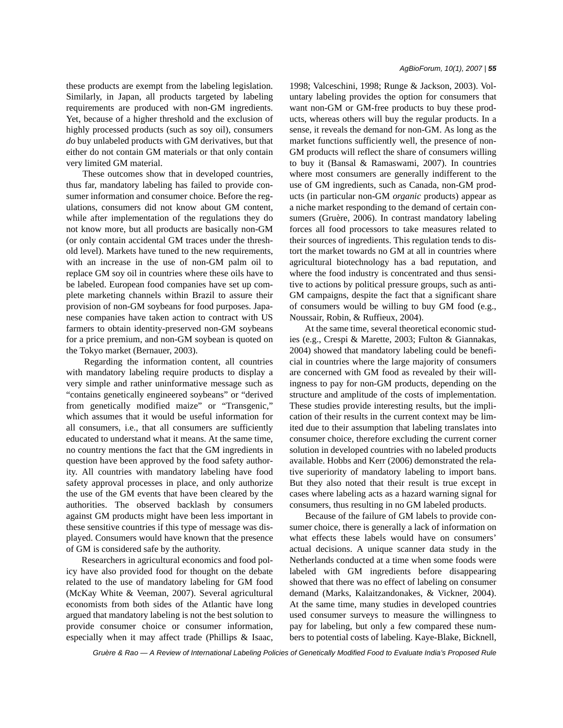these products are exempt from the labeling legislation. Similarly, in Japan, all products targeted by labeling requirements are produced with non-GM ingredients. Yet, because of a higher threshold and the exclusion of highly processed products (such as soy oil), consumers *do* buy unlabeled products with GM derivatives, but that either do not contain GM materials or that only contain very limited GM material.

 These outcomes show that in developed countries, thus far, mandatory labeling has failed to provide consumer information and consumer choice. Before the regulations, consumers did not know about GM content, while after implementation of the regulations they do not know more, but all products are basically non-GM (or only contain accidental GM traces under the threshold level). Markets have tuned to the new requirements, with an increase in the use of non-GM palm oil to replace GM soy oil in countries where these oils have to be labeled. European food companies have set up complete marketing channels within Brazil to assure their provision of non-GM soybeans for food purposes. Japanese companies have taken action to contract with US farmers to obtain identity-preserved non-GM soybeans for a price premium, and non-GM soybean is quoted on the Tokyo market (Bernauer, 2003).

 Regarding the information content, all countries with mandatory labeling require products to display a very simple and rather uninformative message such as "contains genetically engineered soybeans" or "derived from genetically modified maize" or "Transgenic," which assumes that it would be useful information for all consumers, i.e., that all consumers are sufficiently educated to understand what it means. At the same time, no country mentions the fact that the GM ingredients in question have been approved by the food safety authority. All countries with mandatory labeling have food safety approval processes in place, and only authorize the use of the GM events that have been cleared by the authorities. The observed backlash by consumers against GM products might have been less important in these sensitive countries if this type of message was displayed. Consumers would have known that the presence of GM is considered safe by the authority.

 Researchers in agricultural economics and food policy have also provided food for thought on the debate related to the use of mandatory labeling for GM food (McKay White & Veeman, 2007). Several agricultural economists from both sides of the Atlantic have long argued that mandatory labeling is not the best solution to provide consumer choice or consumer information, especially when it may affect trade (Phillips & Isaac,

1998; Valceschini, 1998; Runge & Jackson, 2003). Voluntary labeling provides the option for consumers that want non-GM or GM-free products to buy these products, whereas others will buy the regular products. In a sense, it reveals the demand for non-GM. As long as the market functions sufficiently well, the presence of non-GM products will reflect the share of consumers willing to buy it (Bansal & Ramaswami, 2007). In countries where most consumers are generally indifferent to the use of GM ingredients, such as Canada, non-GM products (in particular non-GM *organic* products) appear as a niche market responding to the demand of certain consumers (Gruère, 2006). In contrast mandatory labeling forces all food processors to take measures related to their sources of ingredients. This regulation tends to distort the market towards no GM at all in countries where agricultural biotechnology has a bad reputation, and where the food industry is concentrated and thus sensitive to actions by political pressure groups, such as anti-GM campaigns, despite the fact that a significant share of consumers would be willing to buy GM food (e.g., Noussair, Robin, & Ruffieux, 2004).

 At the same time, several theoretical economic studies (e.g., Crespi & Marette, 2003; Fulton & Giannakas, 2004) showed that mandatory labeling could be beneficial in countries where the large majority of consumers are concerned with GM food as revealed by their willingness to pay for non-GM products, depending on the structure and amplitude of the costs of implementation. These studies provide interesting results, but the implication of their results in the current context may be limited due to their assumption that labeling translates into consumer choice, therefore excluding the current corner solution in developed countries with no labeled products available. Hobbs and Kerr (2006) demonstrated the relative superiority of mandatory labeling to import bans. But they also noted that their result is true except in cases where labeling acts as a hazard warning signal for consumers, thus resulting in no GM labeled products.

 Because of the failure of GM labels to provide consumer choice, there is generally a lack of information on what effects these labels would have on consumers' actual decisions. A unique scanner data study in the Netherlands conducted at a time when some foods were labeled with GM ingredients before disappearing showed that there was no effect of labeling on consumer demand (Marks, Kalaitzandonakes, & Vickner, 2004). At the same time, many studies in developed countries used consumer surveys to measure the willingness to pay for labeling, but only a few compared these numbers to potential costs of labeling. Kaye-Blake, Bicknell,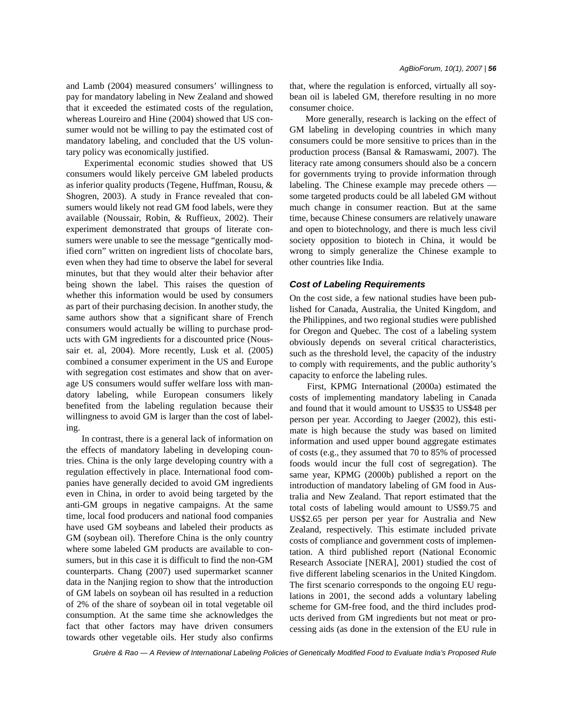and Lamb (2004) measured consumers' willingness to pay for mandatory labeling in New Zealand and showed that it exceeded the estimated costs of the regulation, whereas Loureiro and Hine (2004) showed that US consumer would not be willing to pay the estimated cost of mandatory labeling, and concluded that the US voluntary policy was economically justified.

 Experimental economic studies showed that US consumers would likely perceive GM labeled products as inferior quality products (Tegene, Huffman, Rousu, & Shogren, 2003). A study in France revealed that consumers would likely not read GM food labels, were they available (Noussair, Robin, & Ruffieux, 2002). Their experiment demonstrated that groups of literate consumers were unable to see the message "gentically modified corn" written on ingredient lists of chocolate bars, even when they had time to observe the label for several minutes, but that they would alter their behavior after being shown the label. This raises the question of whether this information would be used by consumers as part of their purchasing decision. In another study, the same authors show that a significant share of French consumers would actually be willing to purchase products with GM ingredients for a discounted price (Noussair et. al, 2004). More recently, Lusk et al. (2005) combined a consumer experiment in the US and Europe with segregation cost estimates and show that on average US consumers would suffer welfare loss with mandatory labeling, while European consumers likely benefited from the labeling regulation because their willingness to avoid GM is larger than the cost of labeling.

 In contrast, there is a general lack of information on the effects of mandatory labeling in developing countries. China is the only large developing country with a regulation effectively in place. International food companies have generally decided to avoid GM ingredients even in China, in order to avoid being targeted by the anti-GM groups in negative campaigns. At the same time, local food producers and national food companies have used GM soybeans and labeled their products as GM (soybean oil). Therefore China is the only country where some labeled GM products are available to consumers, but in this case it is difficult to find the non-GM counterparts. Chang (2007) used supermarket scanner data in the Nanjing region to show that the introduction of GM labels on soybean oil has resulted in a reduction of 2% of the share of soybean oil in total vegetable oil consumption. At the same time she acknowledges the fact that other factors may have driven consumers towards other vegetable oils. Her study also confirms that, where the regulation is enforced, virtually all soybean oil is labeled GM, therefore resulting in no more consumer choice.

 More generally, research is lacking on the effect of GM labeling in developing countries in which many consumers could be more sensitive to prices than in the production process (Bansal & Ramaswami, 2007). The literacy rate among consumers should also be a concern for governments trying to provide information through labeling. The Chinese example may precede others some targeted products could be all labeled GM without much change in consumer reaction. But at the same time, because Chinese consumers are relatively unaware and open to biotechnology, and there is much less civil society opposition to biotech in China, it would be wrong to simply generalize the Chinese example to other countries like India.

#### *Cost of Labeling Requirements*

On the cost side, a few national studies have been published for Canada, Australia, the United Kingdom, and the Philippines, and two regional studies were published for Oregon and Quebec. The cost of a labeling system obviously depends on several critical characteristics, such as the threshold level, the capacity of the industry to comply with requirements, and the public authority's capacity to enforce the labeling rules.

 First, KPMG International (2000a) estimated the costs of implementing mandatory labeling in Canada and found that it would amount to US\$35 to US\$48 per person per year. According to Jaeger (2002), this estimate is high because the study was based on limited information and used upper bound aggregate estimates of costs (e.g., they assumed that 70 to 85% of processed foods would incur the full cost of segregation). The same year, KPMG (2000b) published a report on the introduction of mandatory labeling of GM food in Australia and New Zealand. That report estimated that the total costs of labeling would amount to US\$9.75 and US\$2.65 per person per year for Australia and New Zealand, respectively. This estimate included private costs of compliance and government costs of implementation. A third published report (National Economic Research Associate [NERA], 2001) studied the cost of five different labeling scenarios in the United Kingdom. The first scenario corresponds to the ongoing EU regulations in 2001, the second adds a voluntary labeling scheme for GM-free food, and the third includes products derived from GM ingredients but not meat or processing aids (as done in the extension of the EU rule in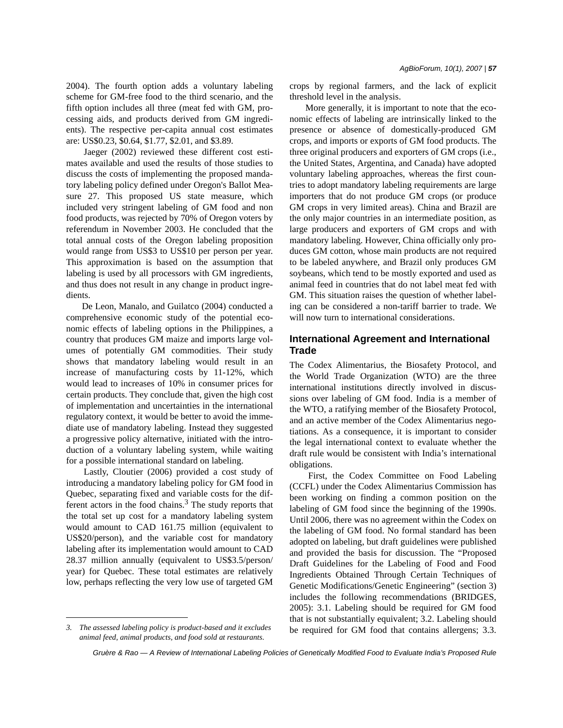2004). The fourth option adds a voluntary labeling scheme for GM-free food to the third scenario, and the fifth option includes all three (meat fed with GM, processing aids, and products derived from GM ingredients). The respective per-capita annual cost estimates are: US\$0.23, \$0.64, \$1.77, \$2.01, and \$3.89.

 Jaeger (2002) reviewed these different cost estimates available and used the results of those studies to discuss the costs of implementing the proposed mandatory labeling policy defined under Oregon's Ballot Measure 27. This proposed US state measure, which included very stringent labeling of GM food and non food products, was rejected by 70% of Oregon voters by referendum in November 2003. He concluded that the total annual costs of the Oregon labeling proposition would range from US\$3 to US\$10 per person per year. This approximation is based on the assumption that labeling is used by all processors with GM ingredients, and thus does not result in any change in product ingredients.

 De Leon, Manalo, and Guilatco (2004) conducted a comprehensive economic study of the potential economic effects of labeling options in the Philippines, a country that produces GM maize and imports large volumes of potentially GM commodities. Their study shows that mandatory labeling would result in an increase of manufacturing costs by 11-12%, which would lead to increases of 10% in consumer prices for certain products. They conclude that, given the high cost of implementation and uncertainties in the international regulatory context, it would be better to avoid the immediate use of mandatory labeling. Instead they suggested a progressive policy alternative, initiated with the introduction of a voluntary labeling system, while waiting for a possible international standard on labeling.

 Lastly, Cloutier (2006) provided a cost study of introducing a mandatory labeling policy for GM food in Quebec, separating fixed and variable costs for the different actors in the food chains.<sup>3</sup> The study reports that the total set up cost for a mandatory labeling system would amount to CAD 161.75 million (equivalent to US\$20/person), and the variable cost for mandatory labeling after its implementation would amount to CAD 28.37 million annually (equivalent to US\$3.5/person/ year) for Quebec. These total estimates are relatively low, perhaps reflecting the very low use of targeted GM *AgBioForum, 10(1), 2007 | 57*

 More generally, it is important to note that the economic effects of labeling are intrinsically linked to the presence or absence of domestically-produced GM crops, and imports or exports of GM food products. The three original producers and exporters of GM crops (i.e., the United States, Argentina, and Canada) have adopted voluntary labeling approaches, whereas the first countries to adopt mandatory labeling requirements are large importers that do not produce GM crops (or produce GM crops in very limited areas). China and Brazil are the only major countries in an intermediate position, as large producers and exporters of GM crops and with mandatory labeling. However, China officially only produces GM cotton, whose main products are not required to be labeled anywhere, and Brazil only produces GM soybeans, which tend to be mostly exported and used as animal feed in countries that do not label meat fed with GM. This situation raises the question of whether labeling can be considered a non-tariff barrier to trade. We will now turn to international considerations.

# **International Agreement and International Trade**

The Codex Alimentarius, the Biosafety Protocol, and the World Trade Organization (WTO) are the three international institutions directly involved in discussions over labeling of GM food. India is a member of the WTO, a ratifying member of the Biosafety Protocol, and an active member of the Codex Alimentarius negotiations. As a consequence, it is important to consider the legal international context to evaluate whether the draft rule would be consistent with India's international obligations.

 First, the Codex Committee on Food Labeling (CCFL) under the Codex Alimentarius Commission has been working on finding a common position on the labeling of GM food since the beginning of the 1990s. Until 2006, there was no agreement within the Codex on the labeling of GM food. No formal standard has been adopted on labeling, but draft guidelines were published and provided the basis for discussion. The "Proposed Draft Guidelines for the Labeling of Food and Food Ingredients Obtained Through Certain Techniques of Genetic Modifications/Genetic Engineering" (section 3) includes the following recommendations (BRIDGES, 2005): 3.1. Labeling should be required for GM food that is not substantially equivalent; 3.2. Labeling should be required for GM food that contains allergens; 3.3. *3. The assessed labeling policy is product-based and it excludes* 

*animal feed, animal products, and food sold at restaurants.*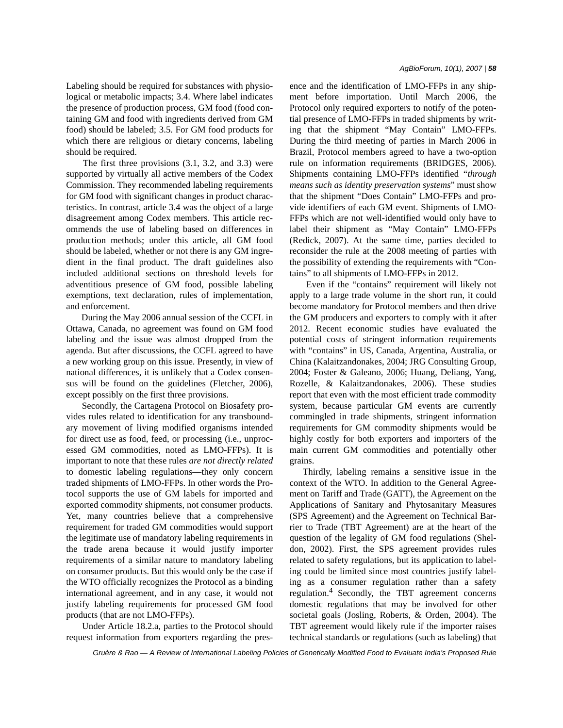Labeling should be required for substances with physiological or metabolic impacts; 3.4. Where label indicates the presence of production process, GM food (food containing GM and food with ingredients derived from GM food) should be labeled; 3.5. For GM food products for which there are religious or dietary concerns, labeling should be required.

 The first three provisions (3.1, 3.2, and 3.3) were supported by virtually all active members of the Codex Commission. They recommended labeling requirements for GM food with significant changes in product characteristics. In contrast, article 3.4 was the object of a large disagreement among Codex members. This article recommends the use of labeling based on differences in production methods; under this article, all GM food should be labeled, whether or not there is any GM ingredient in the final product. The draft guidelines also included additional sections on threshold levels for adventitious presence of GM food, possible labeling exemptions, text declaration, rules of implementation, and enforcement.

 During the May 2006 annual session of the CCFL in Ottawa, Canada, no agreement was found on GM food labeling and the issue was almost dropped from the agenda. But after discussions, the CCFL agreed to have a new working group on this issue. Presently, in view of national differences, it is unlikely that a Codex consensus will be found on the guidelines (Fletcher, 2006), except possibly on the first three provisions.

 Secondly, the Cartagena Protocol on Biosafety provides rules related to identification for any transboundary movement of living modified organisms intended for direct use as food, feed, or processing (i.e., unprocessed GM commodities, noted as LMO-FFPs). It is important to note that these rules *are not directly related* to domestic labeling regulations—they only concern traded shipments of LMO-FFPs. In other words the Protocol supports the use of GM labels for imported and exported commodity shipments, not consumer products. Yet, many countries believe that a comprehensive requirement for traded GM commodities would support the legitimate use of mandatory labeling requirements in the trade arena because it would justify importer requirements of a similar nature to mandatory labeling on consumer products. But this would only be the case if the WTO officially recognizes the Protocol as a binding international agreement, and in any case, it would not justify labeling requirements for processed GM food products (that are not LMO-FFPs).

 Under Article 18.2.a, parties to the Protocol should request information from exporters regarding the presence and the identification of LMO-FFPs in any shipment before importation. Until March 2006, the Protocol only required exporters to notify of the potential presence of LMO-FFPs in traded shipments by writing that the shipment "May Contain" LMO-FFPs. During the third meeting of parties in March 2006 in Brazil, Protocol members agreed to have a two-option rule on information requirements (BRIDGES, 2006). Shipments containing LMO-FFPs identified "*through means such as identity preservation systems*" must show that the shipment "Does Contain" LMO-FFPs and provide identifiers of each GM event. Shipments of LMO-FFPs which are not well-identified would only have to label their shipment as "May Contain" LMO-FFPs (Redick, 2007). At the same time, parties decided to reconsider the rule at the 2008 meeting of parties with the possibility of extending the requirements with "Contains" to all shipments of LMO-FFPs in 2012.

 Even if the "contains" requirement will likely not apply to a large trade volume in the short run, it could become mandatory for Protocol members and then drive the GM producers and exporters to comply with it after 2012. Recent economic studies have evaluated the potential costs of stringent information requirements with "contains" in US, Canada, Argentina, Australia, or China (Kalaitzandonakes, 2004; JRG Consulting Group, 2004; Foster & Galeano, 2006; Huang, Deliang, Yang, Rozelle, & Kalaitzandonakes, 2006). These studies report that even with the most efficient trade commodity system, because particular GM events are currently commingled in trade shipments, stringent information requirements for GM commodity shipments would be highly costly for both exporters and importers of the main current GM commodities and potentially other grains.

Thirdly, labeling remains a sensitive issue in the context of the WTO. In addition to the General Agreement on Tariff and Trade (GATT), the Agreement on the Applications of Sanitary and Phytosanitary Measures (SPS Agreement) and the Agreement on Technical Barrier to Trade (TBT Agreement) are at the heart of the question of the legality of GM food regulations (Sheldon, 2002). First, the SPS agreement provides rules related to safety regulations, but its application to labeling could be limited since most countries justify labeling as a consumer regulation rather than a safety regulation.<sup>4</sup> Secondly, the TBT agreement concerns domestic regulations that may be involved for other societal goals (Josling, Roberts, & Orden, 2004). The TBT agreement would likely rule if the importer raises technical standards or regulations (such as labeling) that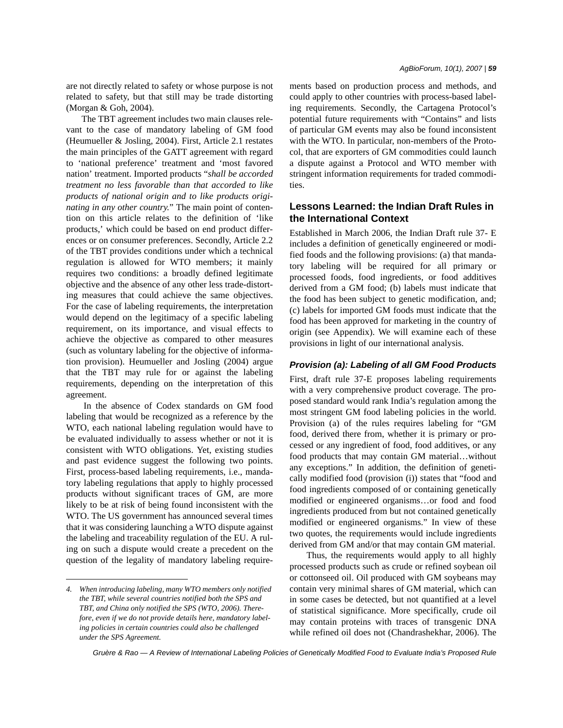are not directly related to safety or whose purpose is not related to safety, but that still may be trade distorting (Morgan & Goh, 2004).

 The TBT agreement includes two main clauses relevant to the case of mandatory labeling of GM food (Heumueller & Josling, 2004). First, Article 2.1 restates the main principles of the GATT agreement with regard to 'national preference' treatment and 'most favored nation' treatment. Imported products "*shall be accorded treatment no less favorable than that accorded to like products of national origin and to like products originating in any other country.*" The main point of contention on this article relates to the definition of 'like products,' which could be based on end product differences or on consumer preferences. Secondly, Article 2.2 of the TBT provides conditions under which a technical regulation is allowed for WTO members; it mainly requires two conditions: a broadly defined legitimate objective and the absence of any other less trade-distorting measures that could achieve the same objectives. For the case of labeling requirements, the interpretation would depend on the legitimacy of a specific labeling requirement, on its importance, and visual effects to achieve the objective as compared to other measures (such as voluntary labeling for the objective of information provision). Heumueller and Josling (2004) argue that the TBT may rule for or against the labeling requirements, depending on the interpretation of this agreement.

 In the absence of Codex standards on GM food labeling that would be recognized as a reference by the WTO, each national labeling regulation would have to be evaluated individually to assess whether or not it is consistent with WTO obligations. Yet, existing studies and past evidence suggest the following two points. First, process-based labeling requirements, i.e., mandatory labeling regulations that apply to highly processed products without significant traces of GM, are more likely to be at risk of being found inconsistent with the WTO. The US government has announced several times that it was considering launching a WTO dispute against the labeling and traceability regulation of the EU. A ruling on such a dispute would create a precedent on the question of the legality of mandatory labeling requirements based on production process and methods, and could apply to other countries with process-based labeling requirements. Secondly, the Cartagena Protocol's potential future requirements with "Contains" and lists of particular GM events may also be found inconsistent with the WTO. In particular, non-members of the Protocol, that are exporters of GM commodities could launch a dispute against a Protocol and WTO member with stringent information requirements for traded commodities.

# **Lessons Learned: the Indian Draft Rules in the International Context**

Established in March 2006, the Indian Draft rule 37- E includes a definition of genetically engineered or modified foods and the following provisions: (a) that mandatory labeling will be required for all primary or processed foods, food ingredients, or food additives derived from a GM food; (b) labels must indicate that the food has been subject to genetic modification, and; (c) labels for imported GM foods must indicate that the food has been approved for marketing in the country of origin (see Appendix). We will examine each of these provisions in light of our international analysis.

### *Provision (a): Labeling of all GM Food Products*

First, draft rule 37-E proposes labeling requirements with a very comprehensive product coverage. The proposed standard would rank India's regulation among the most stringent GM food labeling policies in the world. Provision (a) of the rules requires labeling for "GM food, derived there from, whether it is primary or processed or any ingredient of food, food additives, or any food products that may contain GM material…without any exceptions." In addition, the definition of genetically modified food (provision (i)) states that "food and food ingredients composed of or containing genetically modified or engineered organisms…or food and food ingredients produced from but not contained genetically modified or engineered organisms." In view of these two quotes, the requirements would include ingredients derived from GM and/or that may contain GM material.

 Thus, the requirements would apply to all highly processed products such as crude or refined soybean oil or cottonseed oil. Oil produced with GM soybeans may contain very minimal shares of GM material, which can in some cases be detected, but not quantified at a level of statistical significance. More specifically, crude oil may contain proteins with traces of transgenic DNA while refined oil does not (Chandrashekhar, 2006). The

*<sup>4.</sup> When introducing labeling, many WTO members only notified the TBT, while several countries notified both the SPS and TBT, and China only notified the SPS (WTO, 2006). Therefore, even if we do not provide details here, mandatory labeling policies in certain countries could also be challenged under the SPS Agreement.*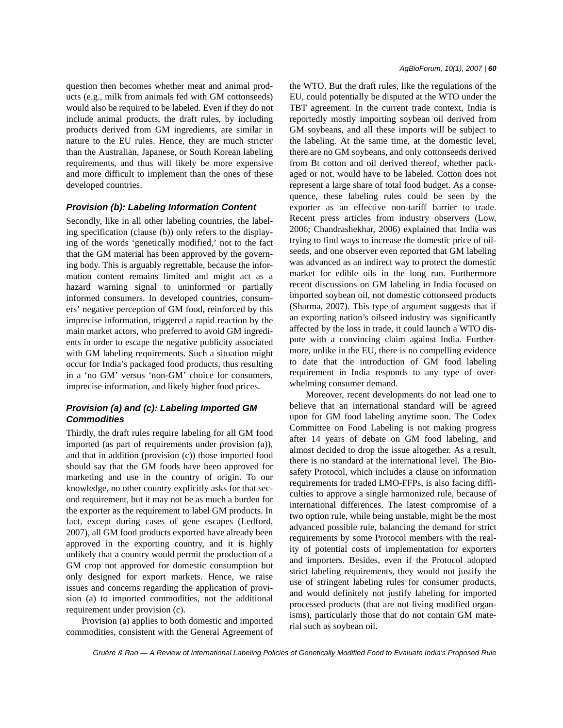question then becomes whether meat and animal products (e.g., milk from animals fed with GM cottonseeds) would also be required to be labeled. Even if they do not include animal products, the draft rules, by including products derived from GM ingredients, are similar in nature to the EU rules. Hence, they are much stricter than the Australian, Japanese, or South Korean labeling requirements, and thus will likely be more expensive and more difficult to implement than the ones of these developed countries.

### *Provision (b): Labeling Information Content*

Secondly, like in all other labeling countries, the labeling specification (clause (b)) only refers to the displaying of the words 'genetically modified,' not to the fact that the GM material has been approved by the governing body. This is arguably regrettable, because the information content remains limited and might act as a hazard warning signal to uninformed or partially informed consumers. In developed countries, consumers' negative perception of GM food, reinforced by this imprecise information, triggered a rapid reaction by the main market actors, who preferred to avoid GM ingredients in order to escape the negative publicity associated with GM labeling requirements. Such a situation might occur for India's packaged food products, thus resulting in a 'no GM' versus 'non-GM' choice for consumers, imprecise information, and likely higher food prices.

# *Provision (a) and (c): Labeling Imported GM Commodities*

Thirdly, the draft rules require labeling for all GM food imported (as part of requirements under provision (a)), and that in addition (provision (c)) those imported food should say that the GM foods have been approved for marketing and use in the country of origin. To our knowledge, no other country explicitly asks for that second requirement, but it may not be as much a burden for the exporter as the requirement to label GM products. In fact, except during cases of gene escapes (Ledford, 2007), all GM food products exported have already been approved in the exporting country, and it is highly unlikely that a country would permit the production of a GM crop not approved for domestic consumption but only designed for export markets. Hence, we raise issues and concerns regarding the application of provision (a) to imported commodities, not the additional requirement under provision (c).

 Provision (a) applies to both domestic and imported commodities, consistent with the General Agreement of the WTO. But the draft rules, like the regulations of the EU, could potentially be disputed at the WTO under the TBT agreement. In the current trade context, India is reportedly mostly importing soybean oil derived from GM soybeans, and all these imports will be subject to the labeling. At the same time, at the domestic level, there are no GM soybeans, and only cottonseeds derived from Bt cotton and oil derived thereof, whether packaged or not, would have to be labeled. Cotton does not represent a large share of total food budget. As a consequence, these labeling rules could be seen by the exporter as an effective non-tariff barrier to trade. Recent press articles from industry observers (Low, 2006; Chandrashekhar, 2006) explained that India was trying to find ways to increase the domestic price of oilseeds, and one observer even reported that GM labeling was advanced as an indirect way to protect the domestic market for edible oils in the long run. Furthermore recent discussions on GM labeling in India focused on imported soybean oil, not domestic cottonseed products (Sharma, 2007). This type of argument suggests that if an exporting nation's oilseed industry was significantly affected by the loss in trade, it could launch a WTO dispute with a convincing claim against India. Furthermore, unlike in the EU, there is no compelling evidence to date that the introduction of GM food labeling requirement in India responds to any type of overwhelming consumer demand.

 Moreover, recent developments do not lead one to believe that an international standard will be agreed upon for GM food labeling anytime soon. The Codex Committee on Food Labeling is not making progress after 14 years of debate on GM food labeling, and almost decided to drop the issue altogether. As a result, there is no standard at the international level. The Biosafety Protocol, which includes a clause on information requirements for traded LMO-FFPs, is also facing difficulties to approve a single harmonized rule, because of international differences. The latest compromise of a two option rule, while being unstable, might be the most advanced possible rule, balancing the demand for strict requirements by some Protocol members with the reality of potential costs of implementation for exporters and importers. Besides, even if the Protocol adopted strict labeling requirements, they would not justify the use of stringent labeling rules for consumer products, and would definitely not justify labeling for imported processed products (that are not living modified organisms), particularly those that do not contain GM material such as soybean oil.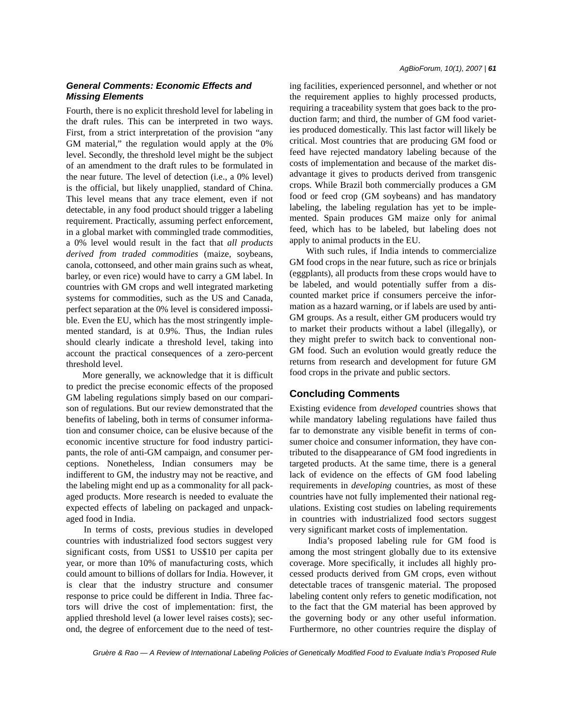# *General Comments: Economic Effects and Missing Elements*

Fourth, there is no explicit threshold level for labeling in the draft rules. This can be interpreted in two ways. First, from a strict interpretation of the provision "any GM material*,*" the regulation would apply at the 0% level. Secondly, the threshold level might be the subject of an amendment to the draft rules to be formulated in the near future. The level of detection (i.e., a 0% level) is the official, but likely unapplied, standard of China. This level means that any trace element, even if not detectable, in any food product should trigger a labeling requirement. Practically, assuming perfect enforcement, in a global market with commingled trade commodities, a 0% level would result in the fact that *all products derived from traded commodities* (maize, soybeans, canola, cottonseed, and other main grains such as wheat, barley, or even rice) would have to carry a GM label. In countries with GM crops and well integrated marketing systems for commodities, such as the US and Canada, perfect separation at the 0% level is considered impossible. Even the EU, which has the most stringently implemented standard, is at 0.9%. Thus, the Indian rules should clearly indicate a threshold level, taking into account the practical consequences of a zero-percent threshold level.

 More generally, we acknowledge that it is difficult to predict the precise economic effects of the proposed GM labeling regulations simply based on our comparison of regulations. But our review demonstrated that the benefits of labeling, both in terms of consumer information and consumer choice, can be elusive because of the economic incentive structure for food industry participants, the role of anti-GM campaign, and consumer perceptions. Nonetheless, Indian consumers may be indifferent to GM, the industry may not be reactive, and the labeling might end up as a commonality for all packaged products. More research is needed to evaluate the expected effects of labeling on packaged and unpackaged food in India.

 In terms of costs, previous studies in developed countries with industrialized food sectors suggest very significant costs, from US\$1 to US\$10 per capita per year, or more than 10% of manufacturing costs, which could amount to billions of dollars for India. However, it is clear that the industry structure and consumer response to price could be different in India. Three factors will drive the cost of implementation: first, the applied threshold level (a lower level raises costs); second, the degree of enforcement due to the need of testing facilities, experienced personnel, and whether or not the requirement applies to highly processed products, requiring a traceability system that goes back to the production farm; and third, the number of GM food varieties produced domestically. This last factor will likely be critical. Most countries that are producing GM food or feed have rejected mandatory labeling because of the costs of implementation and because of the market disadvantage it gives to products derived from transgenic crops. While Brazil both commercially produces a GM food or feed crop (GM soybeans) and has mandatory labeling, the labeling regulation has yet to be implemented. Spain produces GM maize only for animal feed, which has to be labeled, but labeling does not apply to animal products in the EU.

 With such rules, if India intends to commercialize GM food crops in the near future, such as rice or brinjals (eggplants), all products from these crops would have to be labeled, and would potentially suffer from a discounted market price if consumers perceive the information as a hazard warning, or if labels are used by anti-GM groups. As a result, either GM producers would try to market their products without a label (illegally), or they might prefer to switch back to conventional non-GM food. Such an evolution would greatly reduce the returns from research and development for future GM food crops in the private and public sectors.

# **Concluding Comments**

Existing evidence from *developed* countries shows that while mandatory labeling regulations have failed thus far to demonstrate any visible benefit in terms of consumer choice and consumer information, they have contributed to the disappearance of GM food ingredients in targeted products. At the same time, there is a general lack of evidence on the effects of GM food labeling requirements in *developing* countries, as most of these countries have not fully implemented their national regulations. Existing cost studies on labeling requirements in countries with industrialized food sectors suggest very significant market costs of implementation.

 India's proposed labeling rule for GM food is among the most stringent globally due to its extensive coverage. More specifically, it includes all highly processed products derived from GM crops, even without detectable traces of transgenic material. The proposed labeling content only refers to genetic modification, not to the fact that the GM material has been approved by the governing body or any other useful information. Furthermore, no other countries require the display of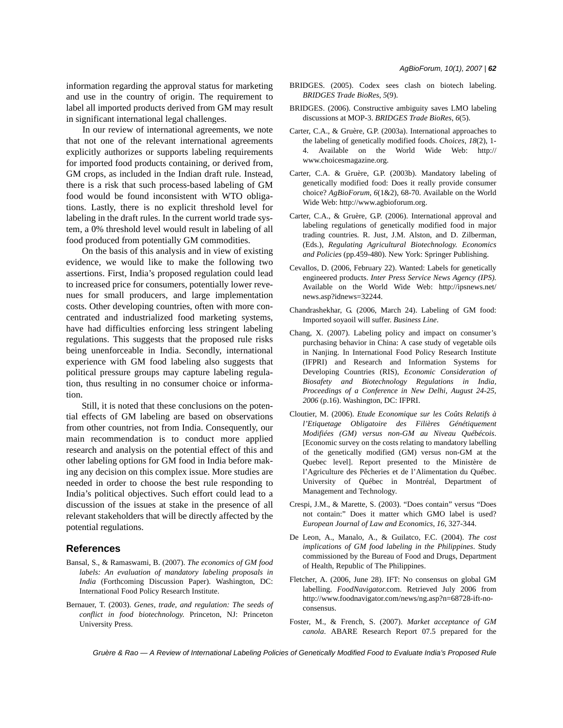information regarding the approval status for marketing and use in the country of origin. The requirement to label all imported products derived from GM may result in significant international legal challenges.

 In our review of international agreements, we note that not one of the relevant international agreements explicitly authorizes or supports labeling requirements for imported food products containing, or derived from, GM crops, as included in the Indian draft rule. Instead, there is a risk that such process-based labeling of GM food would be found inconsistent with WTO obligations. Lastly, there is no explicit threshold level for labeling in the draft rules. In the current world trade system, a 0% threshold level would result in labeling of all food produced from potentially GM commodities.

 On the basis of this analysis and in view of existing evidence, we would like to make the following two assertions. First, India's proposed regulation could lead to increased price for consumers, potentially lower revenues for small producers, and large implementation costs. Other developing countries, often with more concentrated and industrialized food marketing systems, have had difficulties enforcing less stringent labeling regulations. This suggests that the proposed rule risks being unenforceable in India. Secondly, international experience with GM food labeling also suggests that political pressure groups may capture labeling regulation, thus resulting in no consumer choice or information.

 Still, it is noted that these conclusions on the potential effects of GM labeling are based on observations from other countries, not from India. Consequently, our main recommendation is to conduct more applied research and analysis on the potential effect of this and other labeling options for GM food in India before making any decision on this complex issue. More studies are needed in order to choose the best rule responding to India's political objectives. Such effort could lead to a discussion of the issues at stake in the presence of all relevant stakeholders that will be directly affected by the potential regulations.

### **References**

- Bansal, S., & Ramaswami, B. (2007). *The economics of GM food labels: An evaluation of mandatory labeling proposals in India* (Forthcoming Discussion Paper). Washington, DC: International Food Policy Research Institute.
- Bernauer, T. (2003). *Genes, trade, and regulation: The seeds of conflict in food biotechnology*. Princeton, NJ: Princeton University Press.
- BRIDGES. (2005). Codex sees clash on biotech labeling. *BRIDGES Trade BioRes*, *5*(9).
- BRIDGES. (2006). Constructive ambiguity saves LMO labeling discussions at MOP-3. *BRIDGES Trade BioRes*, *6*(5).
- Carter, C.A., & Gruère, G.P. (2003a). International approaches to the labeling of genetically modified foods. *Choices*, *18*(2), 1- 4. Available on the World Wide Web: http:// www.choicesmagazine.org.
- Carter, C.A. & Gruère, G.P. (2003b). Mandatory labeling of genetically modified food: Does it really provide consumer choice? *AgBioForum*, *6*(1&2), 68-70. Available on the World Wide Web: http://www.agbioforum.org.
- Carter, C.A., & Gruère, G.P. (2006). International approval and labeling regulations of genetically modified food in major trading countries*.* R. Just, J.M. Alston, and D. Zilberman, (Eds.), *Regulating Agricultural Biotechnology. Economics and Policies* (pp.459-480). New York: Springer Publishing.
- Cevallos, D. (2006, February 22). Wanted: Labels for genetically engineered products. *Inter Press Service News Agency (IPS).* Available on the World Wide Web: http://ipsnews.net/ news.asp?idnews=32244.
- Chandrashekhar, G. (2006, March 24). Labeling of GM food: Imported soyaoil will suffer. *Business Line*.
- Chang, X. (2007). Labeling policy and impact on consumer's purchasing behavior in China: A case study of vegetable oils in Nanjing. In International Food Policy Research Institute (IFPRI) and Research and Information Systems for Developing Countries (RIS), *Economic Consideration of Biosafety and Biotechnology Regulations in India, Proceedings of a Conference in New Delhi, August 24-25, 2006* (p.16). Washington, DC: IFPRI.
- Cloutier, M. (2006). *Etude Economique sur les Coûts Relatifs à l'Etiquetage Obligatoire des Filières Génétiquement Modifiées (GM) versus non-GM au Niveau Québécois*. [Economic survey on the costs relating to mandatory labelling of the genetically modified (GM) versus non-GM at the Quebec level]. Report presented to the Ministère de l'Agriculture des Pêcheries et de l'Alimentation du Québec. University of Québec in Montréal, Department of Management and Technology.
- Crespi, J.M., & Marette, S. (2003). "Does contain" versus "Does not contain:" Does it matter which GMO label is used? *European Journal of Law and Economics*, *16*, 327-344.
- De Leon, A., Manalo, A., & Guilatco, F.C. (2004). *The cost implications of GM food labeling in the Philippines*. Study commissioned by the Bureau of Food and Drugs, Department of Health, Republic of The Philippines.
- Fletcher, A. (2006, June 28). IFT: No consensus on global GM labelling. *FoodNavigator.*com. Retrieved July 2006 from http://www.foodnavigator.com/news/ng.asp?n=68728-ift-noconsensus.
- Foster, M., & French, S. (2007). *Market acceptance of GM canola*. ABARE Research Report 07.5 prepared for the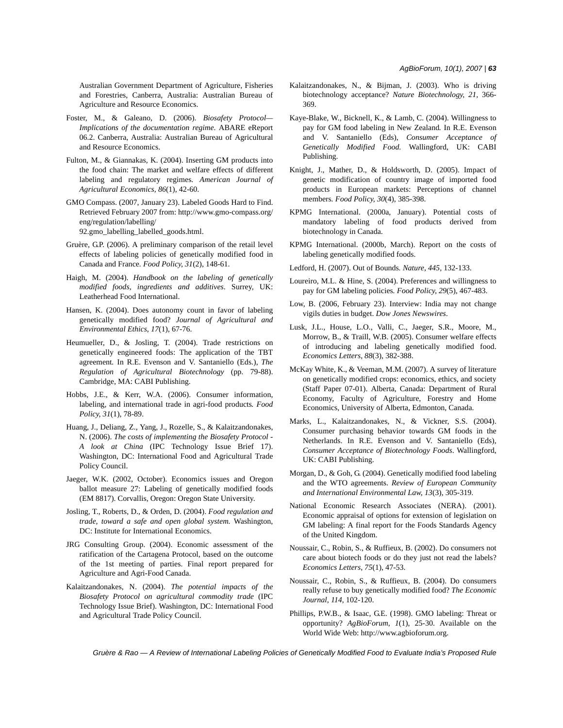Australian Government Department of Agriculture, Fisheries and Forestries, Canberra, Australia: Australian Bureau of Agriculture and Resource Economics.

- Foster, M., & Galeano, D. (2006). *Biosafety Protocol— Implications of the documentation regime*. ABARE eReport 06.2. Canberra, Australia: Australian Bureau of Agricultural and Resource Economics.
- Fulton, M., & Giannakas, K. (2004). Inserting GM products into the food chain: The market and welfare effects of different labeling and regulatory regimes*. American Journal of Agricultural Economics, 86*(1), 42-60.
- GMO Compass. (2007, January 23). Labeled Goods Hard to Find. Retrieved February 2007 from: http://www.gmo-compass.org/ eng/regulation/labelling/ 92.gmo\_labelling\_labelled\_goods.html.
- Gruère, G.P. (2006). A preliminary comparison of the retail level effects of labeling policies of genetically modified food in Canada and France*. Food Policy*, *31*(2), 148-61.
- Haigh, M. (2004). *Handbook on the labeling of genetically modified foods, ingredients and additives*. Surrey, UK: Leatherhead Food International.
- Hansen, K. (2004). Does autonomy count in favor of labeling genetically modified food? *Journal of Agricultural and Environmental Ethics*, *17*(1), 67-76.
- Heumueller, D., & Josling, T. (2004). Trade restrictions on genetically engineered foods: The application of the TBT agreement*.* In R.E. Evenson and V. Santaniello (Eds.), *The Regulation of Agricultural Biotechnology* (pp. 79-88). Cambridge, MA: CABI Publishing.
- Hobbs, J.E., & Kerr, W.A. (2006). Consumer information, labeling, and international trade in agri-food products*. Food Policy*, *31*(1), 78-89.
- Huang, J., Deliang, Z., Yang, J., Rozelle, S., & Kalaitzandonakes, N. (2006). *The costs of implementing the Biosafety Protocol - A look at China* (IPC Technology Issue Brief 17). Washington, DC: International Food and Agricultural Trade Policy Council.
- Jaeger, W.K. (2002, October). Economics issues and Oregon ballot measure 27: Labeling of genetically modified foods (EM 8817). Corvallis, Oregon: Oregon State University.
- Josling, T., Roberts, D., & Orden, D. (2004). *Food regulation and trade, toward a safe and open global system.* Washington, DC: Institute for International Economics.
- JRG Consulting Group. (2004). Economic assessment of the ratification of the Cartagena Protocol, based on the outcome of the 1st meeting of parties. Final report prepared for Agriculture and Agri-Food Canada.
- Kalaitzandonakes, N. (2004). *The potential impacts of the Biosafety Protocol on agricultural commodity trade* (IPC Technology Issue Brief). Washington, DC: International Food and Agricultural Trade Policy Council.
- Kalaitzandonakes, N., & Bijman, J. (2003). Who is driving biotechnology acceptance? *Nature Biotechnology*, *21*, 366- 369.
- Kaye-Blake, W., Bicknell, K., & Lamb, C. (2004). Willingness to pay for GM food labeling in New Zealand*.* In R.E. Evenson and V. Santaniello (Eds), *Consumer Acceptance of Genetically Modified Food.* Wallingford, UK: CABI Publishing.
- Knight, J., Mather, D., & Holdsworth, D. (2005). Impact of genetic modification of country image of imported food products in European markets: Perceptions of channel members*. Food Policy*, *30*(4), 385-398.
- KPMG International. (2000a, January). Potential costs of mandatory labeling of food products derived from biotechnology in Canada.
- KPMG International. (2000b, March). Report on the costs of labeling genetically modified foods.
- Ledford, H. (2007). Out of Bounds*. Nature*, *445,* 132-133.
- Loureiro, M.L. & Hine, S. (2004). Preferences and willingness to pay for GM labeling policies*. Food Policy*, *29*(5), 467-483.
- Low, B. (2006, February 23). Interview: India may not change vigils duties in budget. *Dow Jones Newswires*.
- Lusk, J.L., House, L.O., Valli, C., Jaeger, S.R., Moore, M., Morrow, B., & Traill, W.B. (2005). Consumer welfare effects of introducing and labeling genetically modified food. *Economics Letters*, *88*(3), 382-388.
- McKay White, K., & Veeman, M.M. (2007). A survey of literature on genetically modified crops: economics, ethics, and society (Staff Paper 07-01). Alberta, Canada: Department of Rural Economy, Faculty of Agriculture, Forestry and Home Economics, University of Alberta, Edmonton, Canada.
- Marks, L., Kalaitzandonakes, N., & Vickner, S.S. (2004). Consumer purchasing behavior towards GM foods in the Netherlands. In R.E. Evenson and V. Santaniello (Eds), *Consumer Acceptance of Biotechnology Foods*. Wallingford, UK: CABI Publishing.
- Morgan, D., & Goh, G. (2004). Genetically modified food labeling and the WTO agreements. *Review of European Community and International Environmental Law*, *13*(3), 305-319.
- National Economic Research Associates (NERA). (2001). Economic appraisal of options for extension of legislation on GM labeling: A final report for the Foods Standards Agency of the United Kingdom.
- Noussair, C., Robin, S., & Ruffieux, B. (2002). Do consumers not care about biotech foods or do they just not read the labels? *Economics Letters*, *75*(1), 47-53.
- Noussair, C., Robin, S., & Ruffieux, B. (2004). Do consumers really refuse to buy genetically modified food? *The Economic Journal*, *114*, 102-120.
- Phillips, P.W.B., & Isaac, G.E. (1998). GMO labeling: Threat or opportunity? *AgBioForum*, *1*(1), 25-30. Available on the World Wide Web: http://www.agbioforum.org.